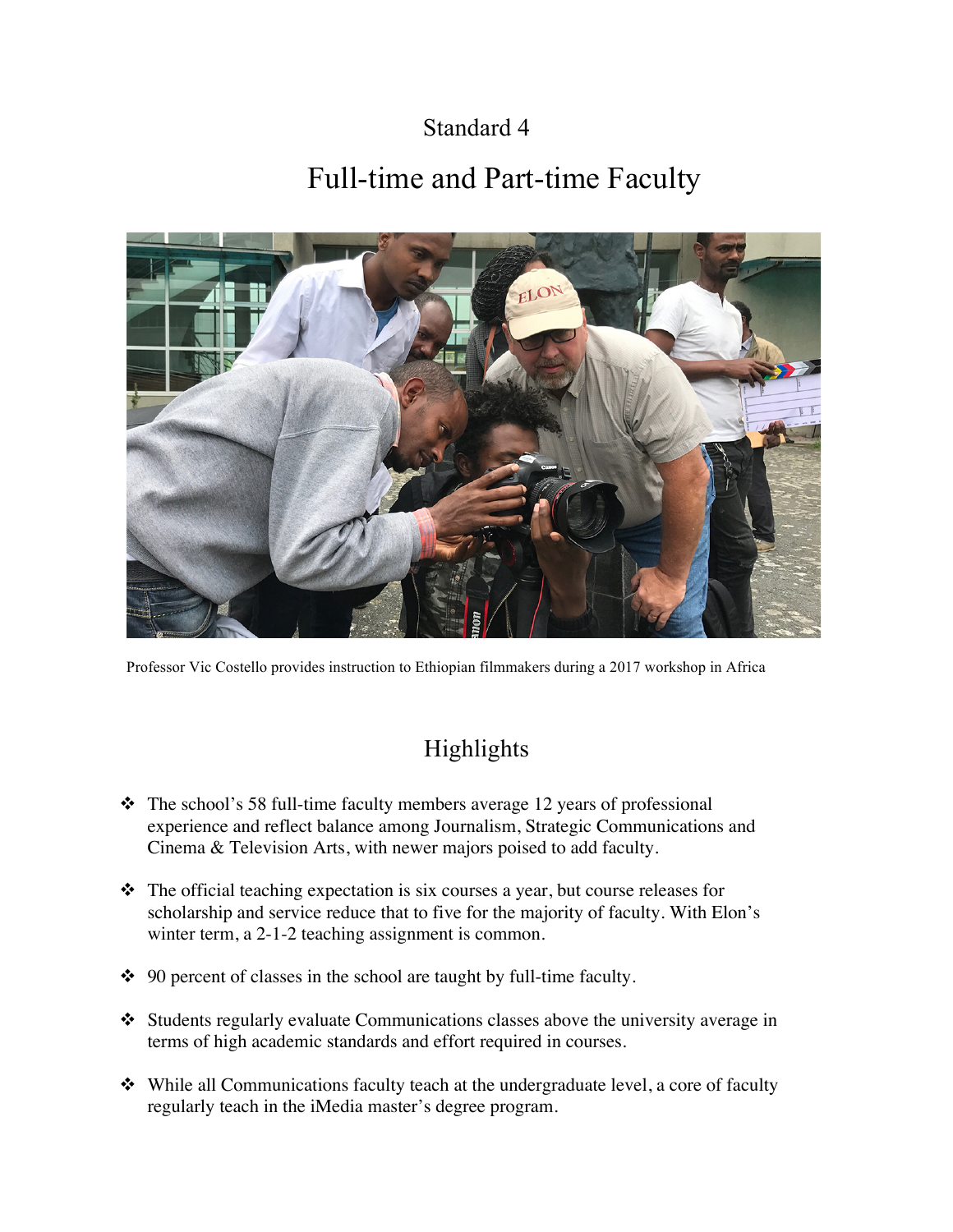### Standard 4

# Full-time and Part-time Faculty



Professor Vic Costello provides instruction to Ethiopian filmmakers during a 2017 workshop in Africa

## Highlights

- $\div$  The school's 58 full-time faculty members average 12 years of professional experience and reflect balance among Journalism, Strategic Communications and Cinema & Television Arts, with newer majors poised to add faculty.
- $\hat{\mathbf{v}}$  The official teaching expectation is six courses a year, but course releases for scholarship and service reduce that to five for the majority of faculty. With Elon's winter term, a 2-1-2 teaching assignment is common.
- $\div$  90 percent of classes in the school are taught by full-time faculty.
- $\triangleleft$  Students regularly evaluate Communications classes above the university average in terms of high academic standards and effort required in courses.
- $\triangleleft$  While all Communications faculty teach at the undergraduate level, a core of faculty regularly teach in the iMedia master's degree program.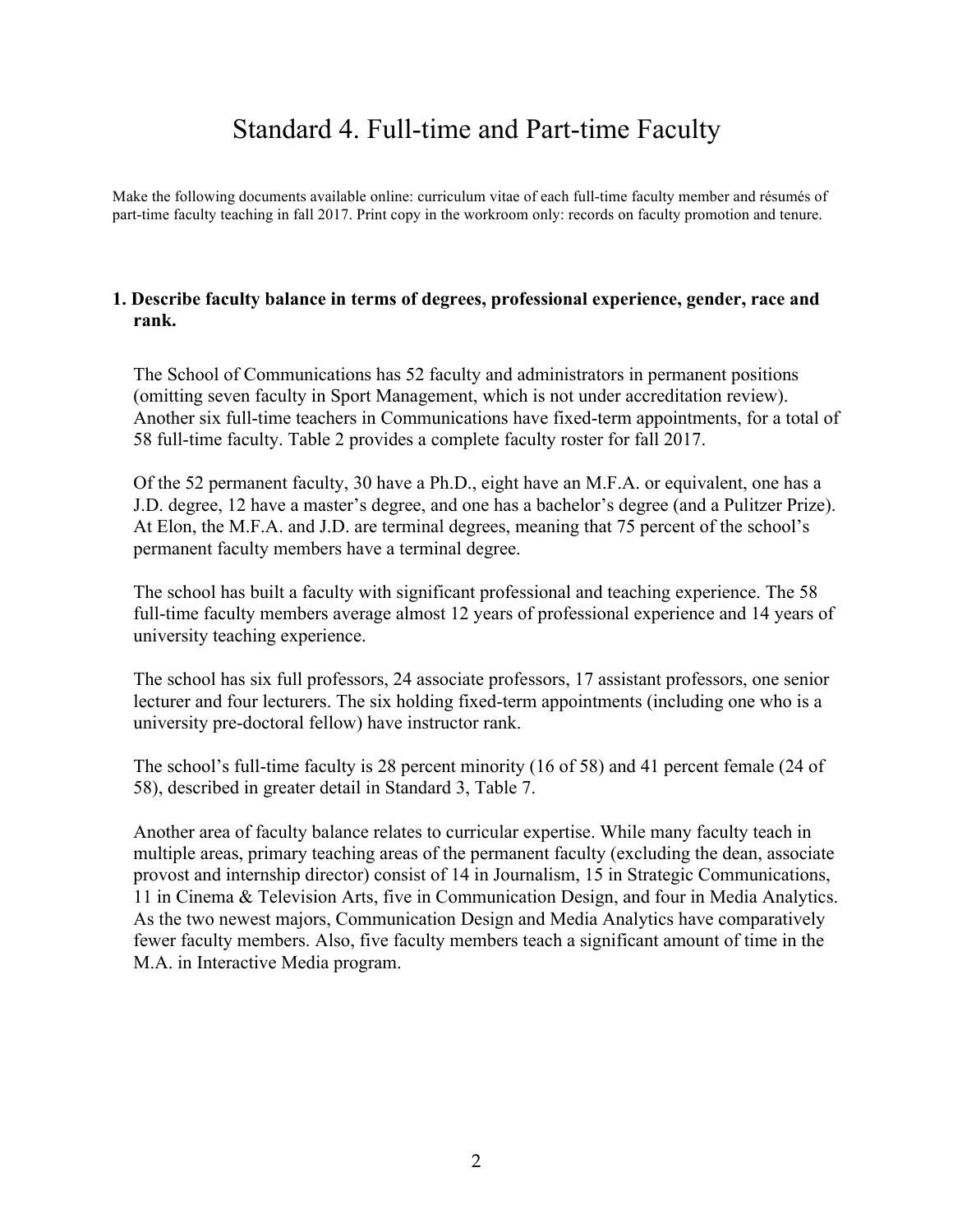## Standard 4. Full-time and Part-time Faculty

Make the following documents available online: curriculum vitae of each full-time faculty member and résumés of part-time faculty teaching in fall 2017. Print copy in the workroom only: records on faculty promotion and tenure.

#### **1. Describe faculty balance in terms of degrees, professional experience, gender, race and rank.**

The School of Communications has 52 faculty and administrators in permanent positions (omitting seven faculty in Sport Management, which is not under accreditation review). Another six full-time teachers in Communications have fixed-term appointments, for a total of 58 full-time faculty. Table 2 provides a complete faculty roster for fall 2017.

Of the 52 permanent faculty, 30 have a Ph.D., eight have an M.F.A. or equivalent, one has a J.D. degree, 12 have a master's degree, and one has a bachelor's degree (and a Pulitzer Prize). At Elon, the M.F.A. and J.D. are terminal degrees, meaning that 75 percent of the school's permanent faculty members have a terminal degree.

The school has built a faculty with significant professional and teaching experience. The 58 full-time faculty members average almost 12 years of professional experience and 14 years of university teaching experience.

The school has six full professors, 24 associate professors, 17 assistant professors, one senior lecturer and four lecturers. The six holding fixed-term appointments (including one who is a university pre-doctoral fellow) have instructor rank.

The school's full-time faculty is 28 percent minority (16 of 58) and 41 percent female (24 of 58), described in greater detail in Standard 3, Table 7.

Another area of faculty balance relates to curricular expertise. While many faculty teach in multiple areas, primary teaching areas of the permanent faculty (excluding the dean, associate provost and internship director) consist of 14 in Journalism, 15 in Strategic Communications, 11 in Cinema & Television Arts, five in Communication Design, and four in Media Analytics. As the two newest majors, Communication Design and Media Analytics have comparatively fewer faculty members. Also, five faculty members teach a significant amount of time in the M.A. in Interactive Media program.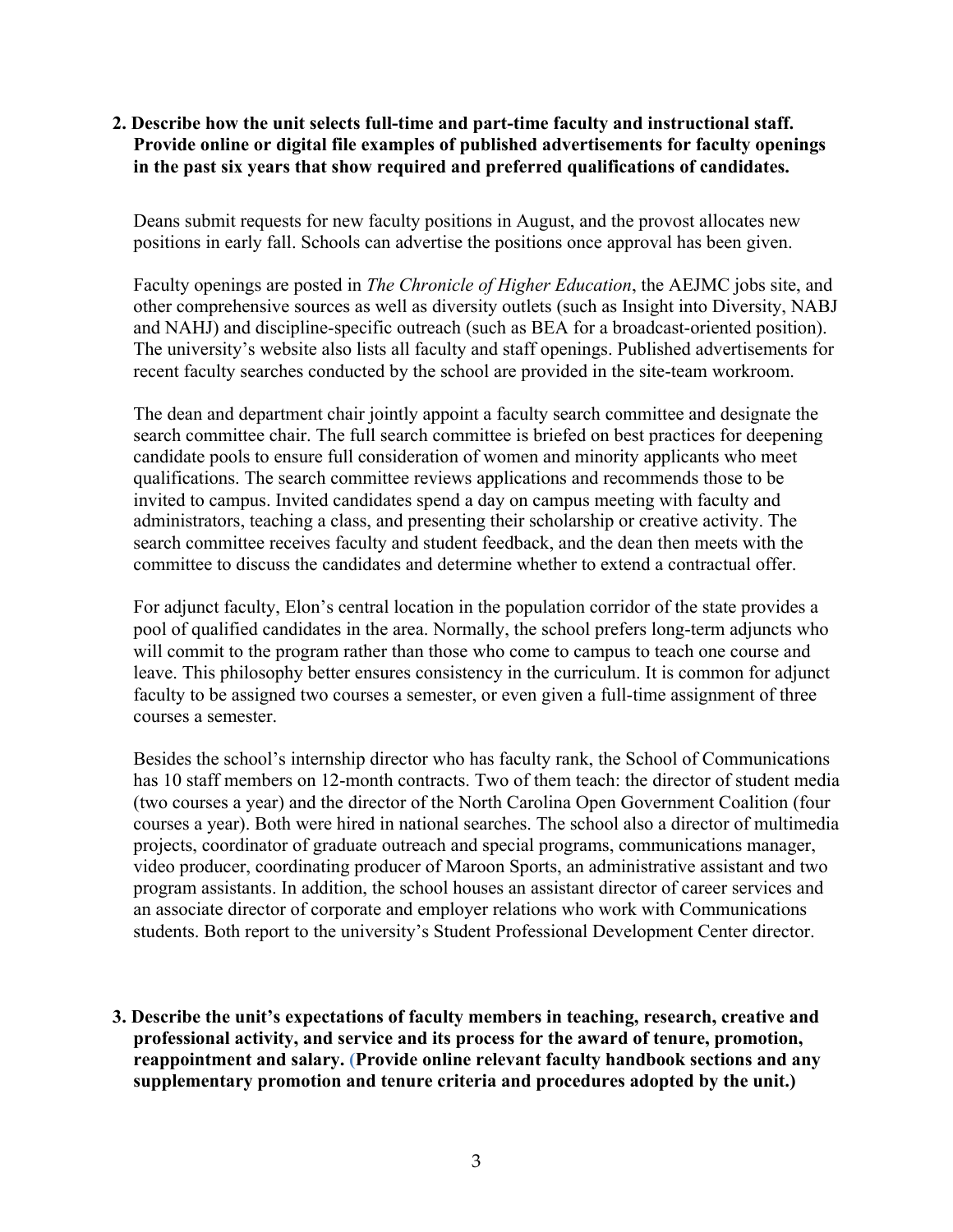#### **2. Describe how the unit selects full-time and part-time faculty and instructional staff. Provide online or digital file examples of published advertisements for faculty openings in the past six years that show required and preferred qualifications of candidates.**

Deans submit requests for new faculty positions in August, and the provost allocates new positions in early fall. Schools can advertise the positions once approval has been given.

Faculty openings are posted in *The Chronicle of Higher Education*, the AEJMC jobs site, and other comprehensive sources as well as diversity outlets (such as Insight into Diversity, NABJ and NAHJ) and discipline-specific outreach (such as BEA for a broadcast-oriented position). The university's website also lists all faculty and staff openings. Published advertisements for recent faculty searches conducted by the school are provided in the site-team workroom.

The dean and department chair jointly appoint a faculty search committee and designate the search committee chair. The full search committee is briefed on best practices for deepening candidate pools to ensure full consideration of women and minority applicants who meet qualifications. The search committee reviews applications and recommends those to be invited to campus. Invited candidates spend a day on campus meeting with faculty and administrators, teaching a class, and presenting their scholarship or creative activity. The search committee receives faculty and student feedback, and the dean then meets with the committee to discuss the candidates and determine whether to extend a contractual offer.

For adjunct faculty, Elon's central location in the population corridor of the state provides a pool of qualified candidates in the area. Normally, the school prefers long-term adjuncts who will commit to the program rather than those who come to campus to teach one course and leave. This philosophy better ensures consistency in the curriculum. It is common for adjunct faculty to be assigned two courses a semester, or even given a full-time assignment of three courses a semester.

Besides the school's internship director who has faculty rank, the School of Communications has 10 staff members on 12-month contracts. Two of them teach: the director of student media (two courses a year) and the director of the North Carolina Open Government Coalition (four courses a year). Both were hired in national searches. The school also a director of multimedia projects, coordinator of graduate outreach and special programs, communications manager, video producer, coordinating producer of Maroon Sports, an administrative assistant and two program assistants. In addition, the school houses an assistant director of career services and an associate director of corporate and employer relations who work with Communications students. Both report to the university's Student Professional Development Center director.

**3. Describe the unit's expectations of faculty members in teaching, research, creative and professional activity, and service and its process for the award of tenure, promotion, reappointment and salary. (Provide online relevant faculty handbook sections and any supplementary promotion and tenure criteria and procedures adopted by the unit.)**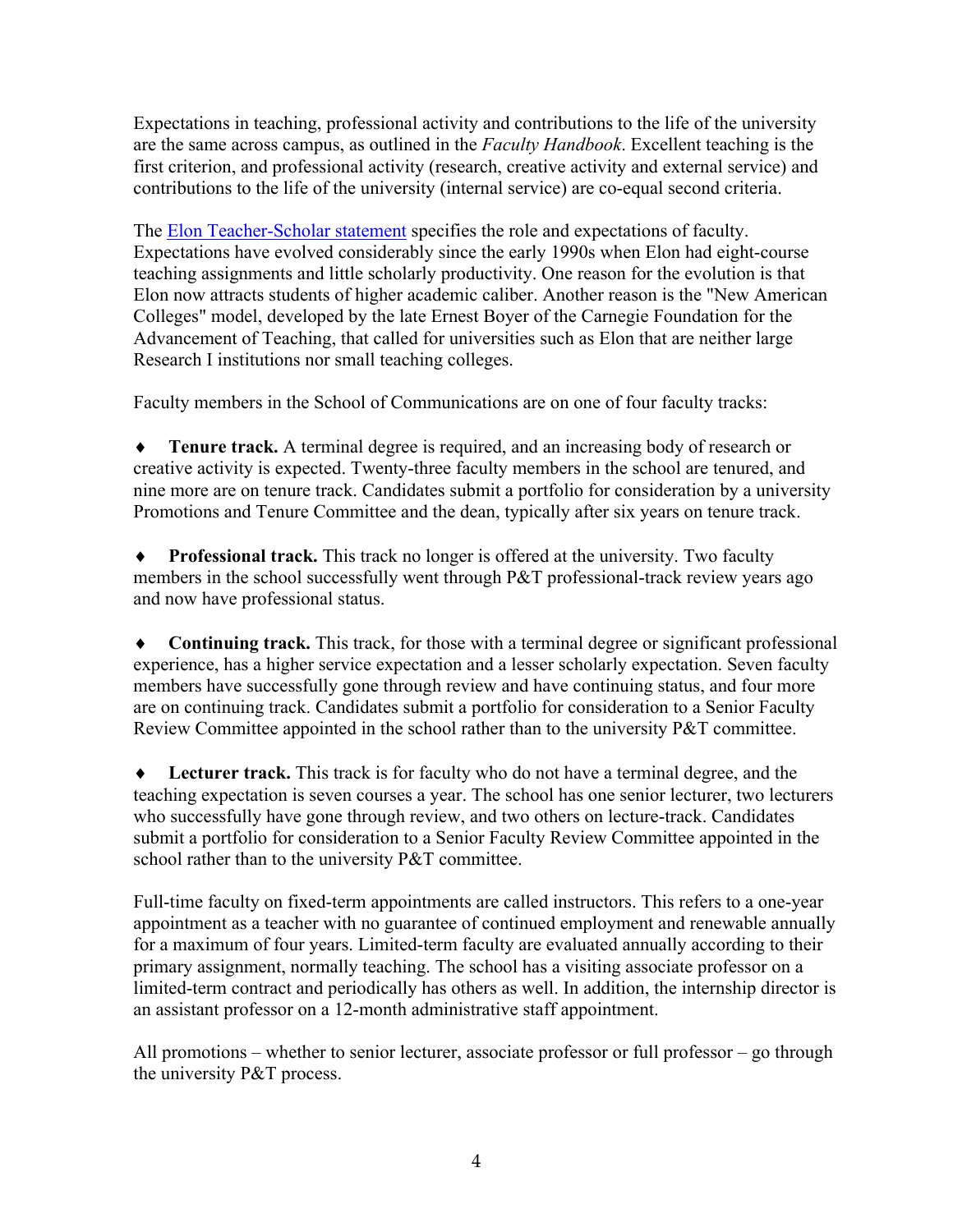Expectations in teaching, professional activity and contributions to the life of the university are the same across campus, as outlined in the *Faculty Handbook*. Excellent teaching is the first criterion, and professional activity (research, creative activity and external service) and contributions to the life of the university (internal service) are co-equal second criteria.

The [Elon Teacher-Scholar statement](http://www.elon.edu/e-web/academics/teacsch.xhtml) specifies the role and expectations of faculty. Expectations have evolved considerably since the early 1990s when Elon had eight-course teaching assignments and little scholarly productivity. One reason for the evolution is that Elon now attracts students of higher academic caliber. Another reason is the "New American Colleges" model, developed by the late Ernest Boyer of the Carnegie Foundation for the Advancement of Teaching, that called for universities such as Elon that are neither large Research I institutions nor small teaching colleges.

Faculty members in the School of Communications are on one of four faculty tracks:

**Tenure track.** A terminal degree is required, and an increasing body of research or creative activity is expected. Twenty-three faculty members in the school are tenured, and nine more are on tenure track. Candidates submit a portfolio for consideration by a university Promotions and Tenure Committee and the dean, typically after six years on tenure track.

**• Professional track.** This track no longer is offered at the university. Two faculty members in the school successfully went through P&T professional-track review years ago and now have professional status.

• Continuing track. This track, for those with a terminal degree or significant professional experience, has a higher service expectation and a lesser scholarly expectation. Seven faculty members have successfully gone through review and have continuing status, and four more are on continuing track. Candidates submit a portfolio for consideration to a Senior Faculty Review Committee appointed in the school rather than to the university P&T committee.

**Lecturer track.** This track is for faculty who do not have a terminal degree, and the teaching expectation is seven courses a year. The school has one senior lecturer, two lecturers who successfully have gone through review, and two others on lecture-track. Candidates submit a portfolio for consideration to a Senior Faculty Review Committee appointed in the school rather than to the university P&T committee.

Full-time faculty on fixed-term appointments are called instructors. This refers to a one-year appointment as a teacher with no guarantee of continued employment and renewable annually for a maximum of four years. Limited-term faculty are evaluated annually according to their primary assignment, normally teaching. The school has a visiting associate professor on a limited-term contract and periodically has others as well. In addition, the internship director is an assistant professor on a 12-month administrative staff appointment.

All promotions – whether to senior lecturer, associate professor or full professor – go through the university P&T process.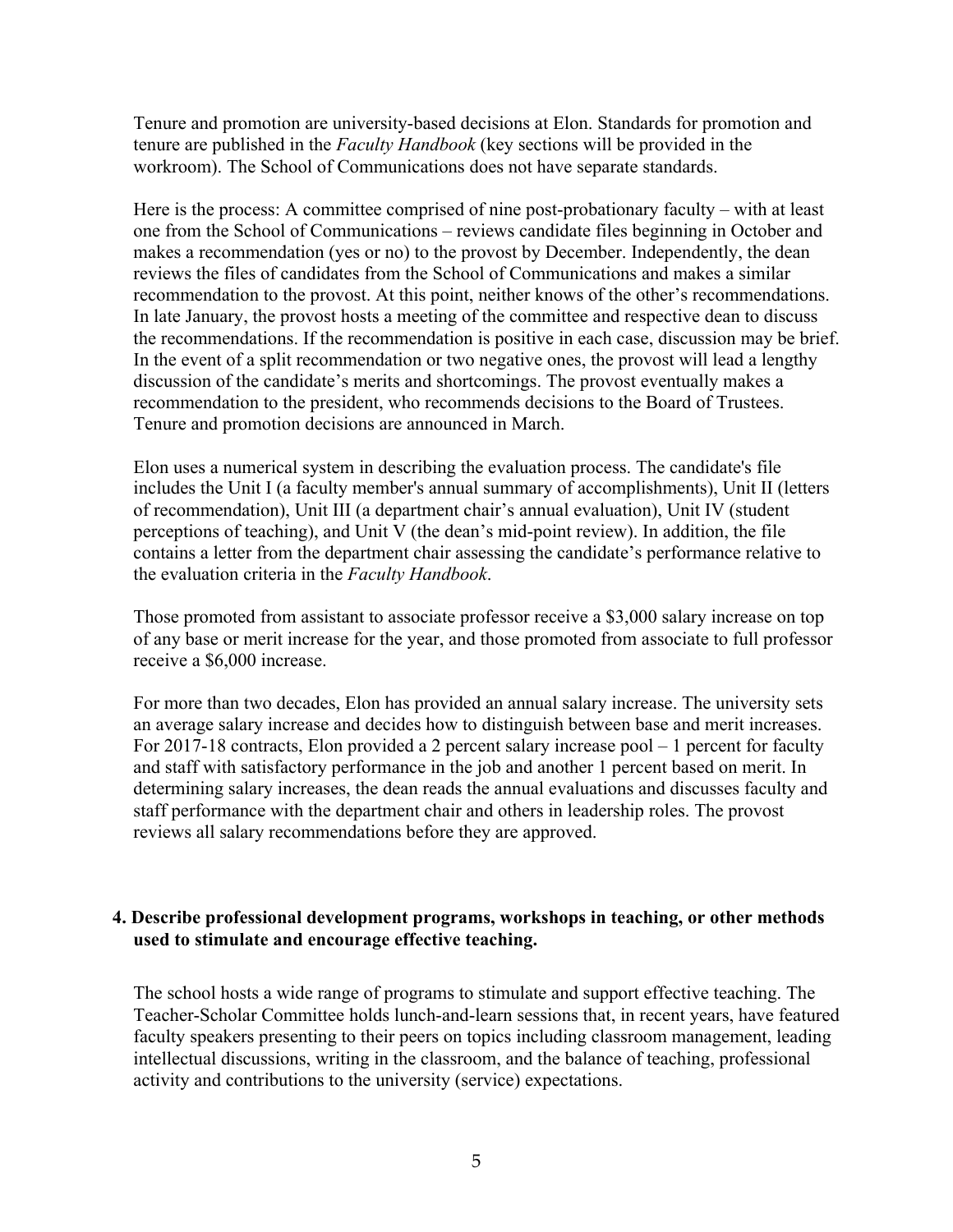Tenure and promotion are university-based decisions at Elon. Standards for promotion and tenure are published in the *Faculty Handbook* (key sections will be provided in the workroom). The School of Communications does not have separate standards.

Here is the process: A committee comprised of nine post-probationary faculty – with at least one from the School of Communications – reviews candidate files beginning in October and makes a recommendation (yes or no) to the provost by December. Independently, the dean reviews the files of candidates from the School of Communications and makes a similar recommendation to the provost. At this point, neither knows of the other's recommendations. In late January, the provost hosts a meeting of the committee and respective dean to discuss the recommendations. If the recommendation is positive in each case, discussion may be brief. In the event of a split recommendation or two negative ones, the provost will lead a lengthy discussion of the candidate's merits and shortcomings. The provost eventually makes a recommendation to the president, who recommends decisions to the Board of Trustees. Tenure and promotion decisions are announced in March.

Elon uses a numerical system in describing the evaluation process. The candidate's file includes the Unit I (a faculty member's annual summary of accomplishments), Unit II (letters of recommendation), Unit III (a department chair's annual evaluation), Unit IV (student perceptions of teaching), and Unit V (the dean's mid-point review). In addition, the file contains a letter from the department chair assessing the candidate's performance relative to the evaluation criteria in the *Faculty Handbook*.

Those promoted from assistant to associate professor receive a \$3,000 salary increase on top of any base or merit increase for the year, and those promoted from associate to full professor receive a \$6,000 increase.

For more than two decades, Elon has provided an annual salary increase. The university sets an average salary increase and decides how to distinguish between base and merit increases. For 2017-18 contracts, Elon provided a 2 percent salary increase pool – 1 percent for faculty and staff with satisfactory performance in the job and another 1 percent based on merit. In determining salary increases, the dean reads the annual evaluations and discusses faculty and staff performance with the department chair and others in leadership roles. The provost reviews all salary recommendations before they are approved.

#### **4. Describe professional development programs, workshops in teaching, or other methods used to stimulate and encourage effective teaching.**

The school hosts a wide range of programs to stimulate and support effective teaching. The Teacher-Scholar Committee holds lunch-and-learn sessions that, in recent years, have featured faculty speakers presenting to their peers on topics including classroom management, leading intellectual discussions, writing in the classroom, and the balance of teaching, professional activity and contributions to the university (service) expectations.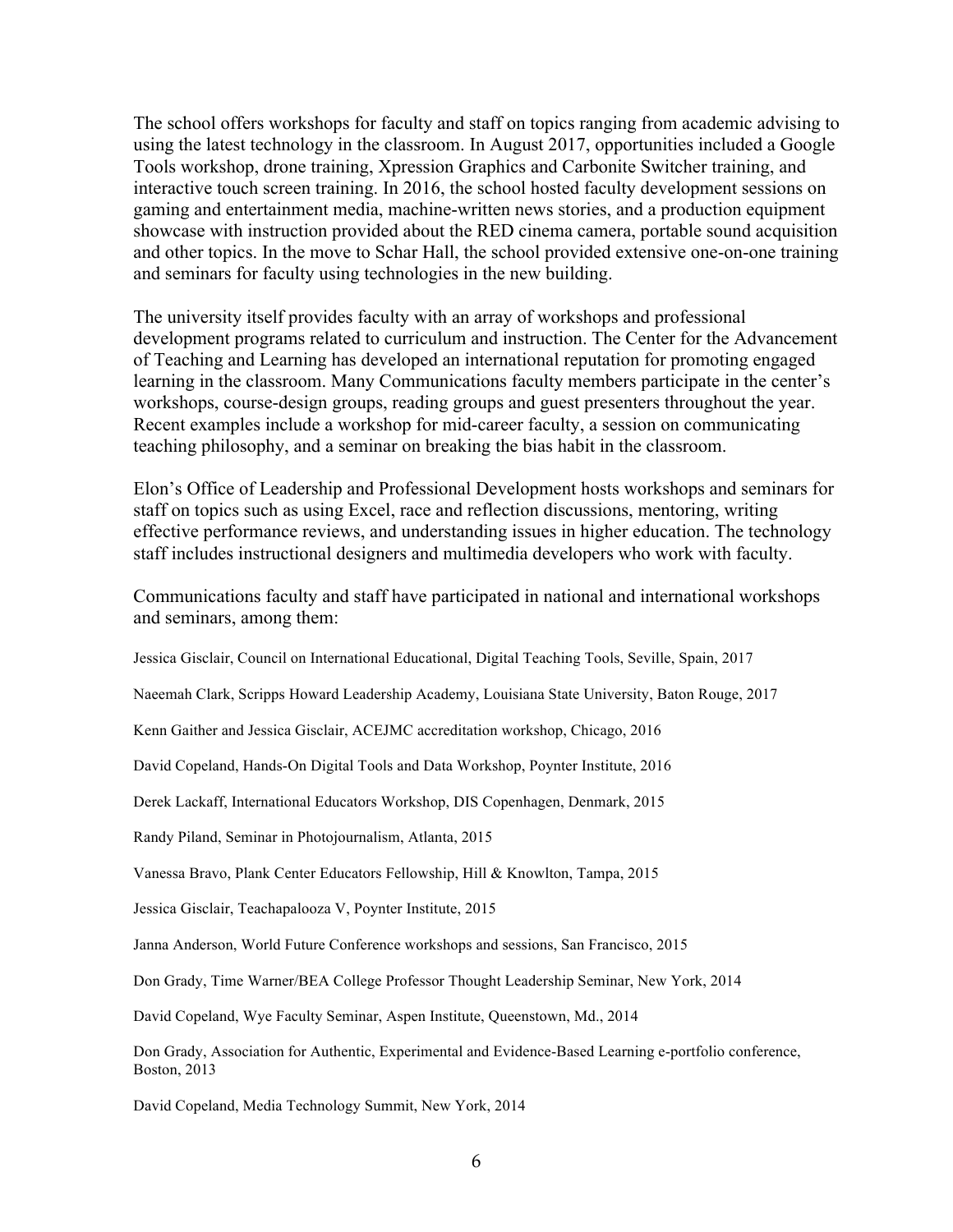The school offers workshops for faculty and staff on topics ranging from academic advising to using the latest technology in the classroom. In August 2017, opportunities included a Google Tools workshop, drone training, Xpression Graphics and Carbonite Switcher training, and interactive touch screen training. In 2016, the school hosted faculty development sessions on gaming and entertainment media, machine-written news stories, and a production equipment showcase with instruction provided about the RED cinema camera, portable sound acquisition and other topics. In the move to Schar Hall, the school provided extensive one-on-one training and seminars for faculty using technologies in the new building.

The university itself provides faculty with an array of workshops and professional development programs related to curriculum and instruction. The Center for the Advancement of Teaching and Learning has developed an international reputation for promoting engaged learning in the classroom. Many Communications faculty members participate in the center's workshops, course-design groups, reading groups and guest presenters throughout the year. Recent examples include a workshop for mid-career faculty, a session on communicating teaching philosophy, and a seminar on breaking the bias habit in the classroom.

Elon's Office of Leadership and Professional Development hosts workshops and seminars for staff on topics such as using Excel, race and reflection discussions, mentoring, writing effective performance reviews, and understanding issues in higher education. The technology staff includes instructional designers and multimedia developers who work with faculty.

Communications faculty and staff have participated in national and international workshops and seminars, among them:

Jessica Gisclair, Council on International Educational, Digital Teaching Tools, Seville, Spain, 2017

Naeemah Clark, Scripps Howard Leadership Academy, Louisiana State University, Baton Rouge, 2017

Kenn Gaither and Jessica Gisclair, ACEJMC accreditation workshop, Chicago, 2016

David Copeland, Hands-On Digital Tools and Data Workshop, Poynter Institute, 2016

Derek Lackaff, International Educators Workshop, DIS Copenhagen, Denmark, 2015

Randy Piland, Seminar in Photojournalism, Atlanta, 2015

Vanessa Bravo, Plank Center Educators Fellowship, Hill & Knowlton, Tampa, 2015

Jessica Gisclair, Teachapalooza V, Poynter Institute, 2015

Janna Anderson, World Future Conference workshops and sessions, San Francisco, 2015

Don Grady, Time Warner/BEA College Professor Thought Leadership Seminar, New York, 2014

David Copeland, Wye Faculty Seminar, Aspen Institute, Queenstown, Md., 2014

Don Grady, Association for Authentic, Experimental and Evidence-Based Learning e-portfolio conference, Boston, 2013

David Copeland, Media Technology Summit, New York, 2014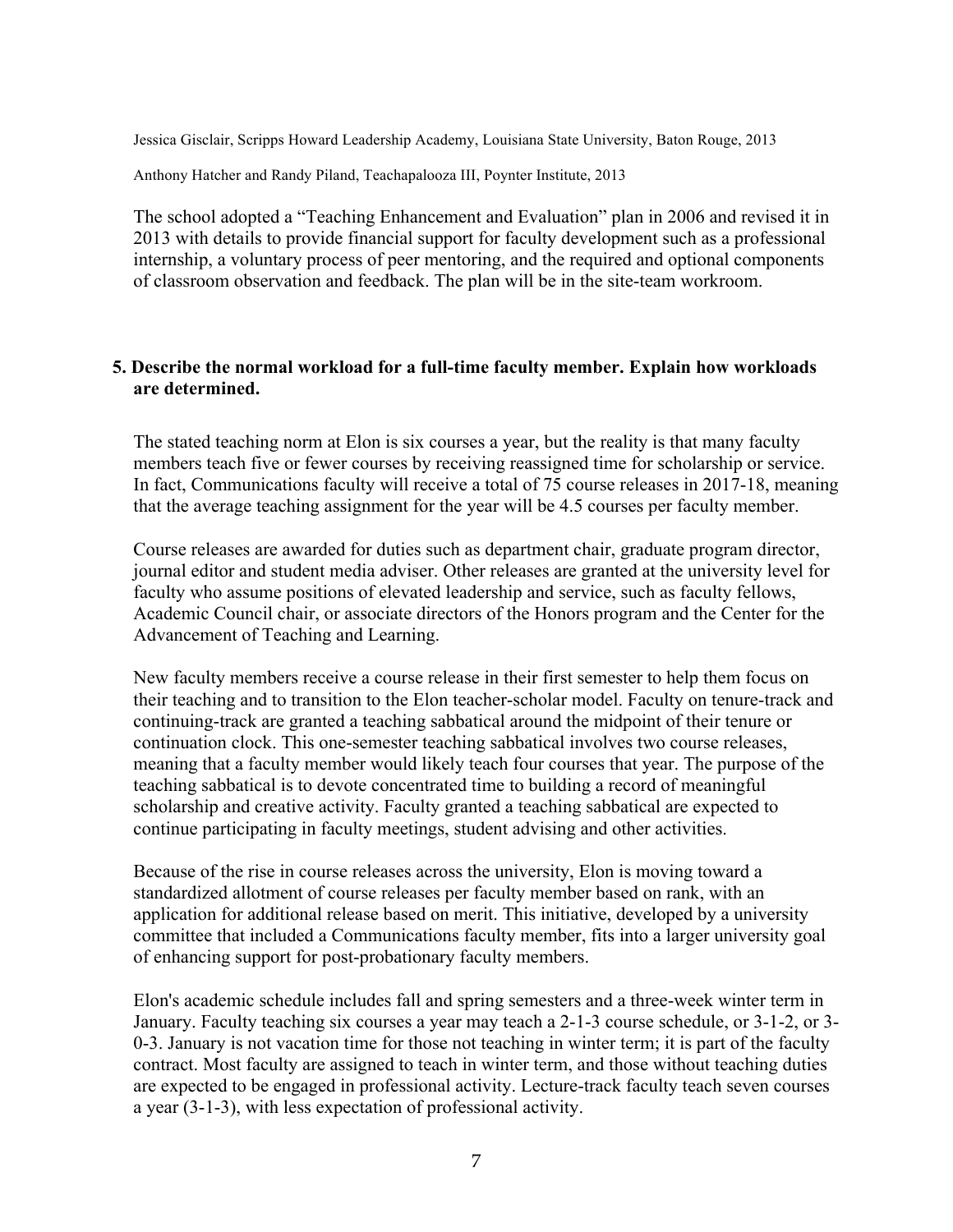Jessica Gisclair, Scripps Howard Leadership Academy, Louisiana State University, Baton Rouge, 2013

Anthony Hatcher and Randy Piland, Teachapalooza III, Poynter Institute, 2013

The school adopted a "Teaching Enhancement and Evaluation" plan in 2006 and revised it in 2013 with details to provide financial support for faculty development such as a professional internship, a voluntary process of peer mentoring, and the required and optional components of classroom observation and feedback. The plan will be in the site-team workroom.

#### **5. Describe the normal workload for a full-time faculty member. Explain how workloads are determined.**

The stated teaching norm at Elon is six courses a year, but the reality is that many faculty members teach five or fewer courses by receiving reassigned time for scholarship or service. In fact, Communications faculty will receive a total of 75 course releases in 2017-18, meaning that the average teaching assignment for the year will be 4.5 courses per faculty member.

Course releases are awarded for duties such as department chair, graduate program director, journal editor and student media adviser. Other releases are granted at the university level for faculty who assume positions of elevated leadership and service, such as faculty fellows, Academic Council chair, or associate directors of the Honors program and the Center for the Advancement of Teaching and Learning.

New faculty members receive a course release in their first semester to help them focus on their teaching and to transition to the Elon teacher-scholar model. Faculty on tenure-track and continuing-track are granted a teaching sabbatical around the midpoint of their tenure or continuation clock. This one-semester teaching sabbatical involves two course releases, meaning that a faculty member would likely teach four courses that year. The purpose of the teaching sabbatical is to devote concentrated time to building a record of meaningful scholarship and creative activity. Faculty granted a teaching sabbatical are expected to continue participating in faculty meetings, student advising and other activities.

Because of the rise in course releases across the university, Elon is moving toward a standardized allotment of course releases per faculty member based on rank, with an application for additional release based on merit. This initiative, developed by a university committee that included a Communications faculty member, fits into a larger university goal of enhancing support for post-probationary faculty members.

Elon's academic schedule includes fall and spring semesters and a three-week winter term in January. Faculty teaching six courses a year may teach a 2-1-3 course schedule, or 3-1-2, or 3- 0-3. January is not vacation time for those not teaching in winter term; it is part of the faculty contract. Most faculty are assigned to teach in winter term, and those without teaching duties are expected to be engaged in professional activity. Lecture-track faculty teach seven courses a year (3-1-3), with less expectation of professional activity.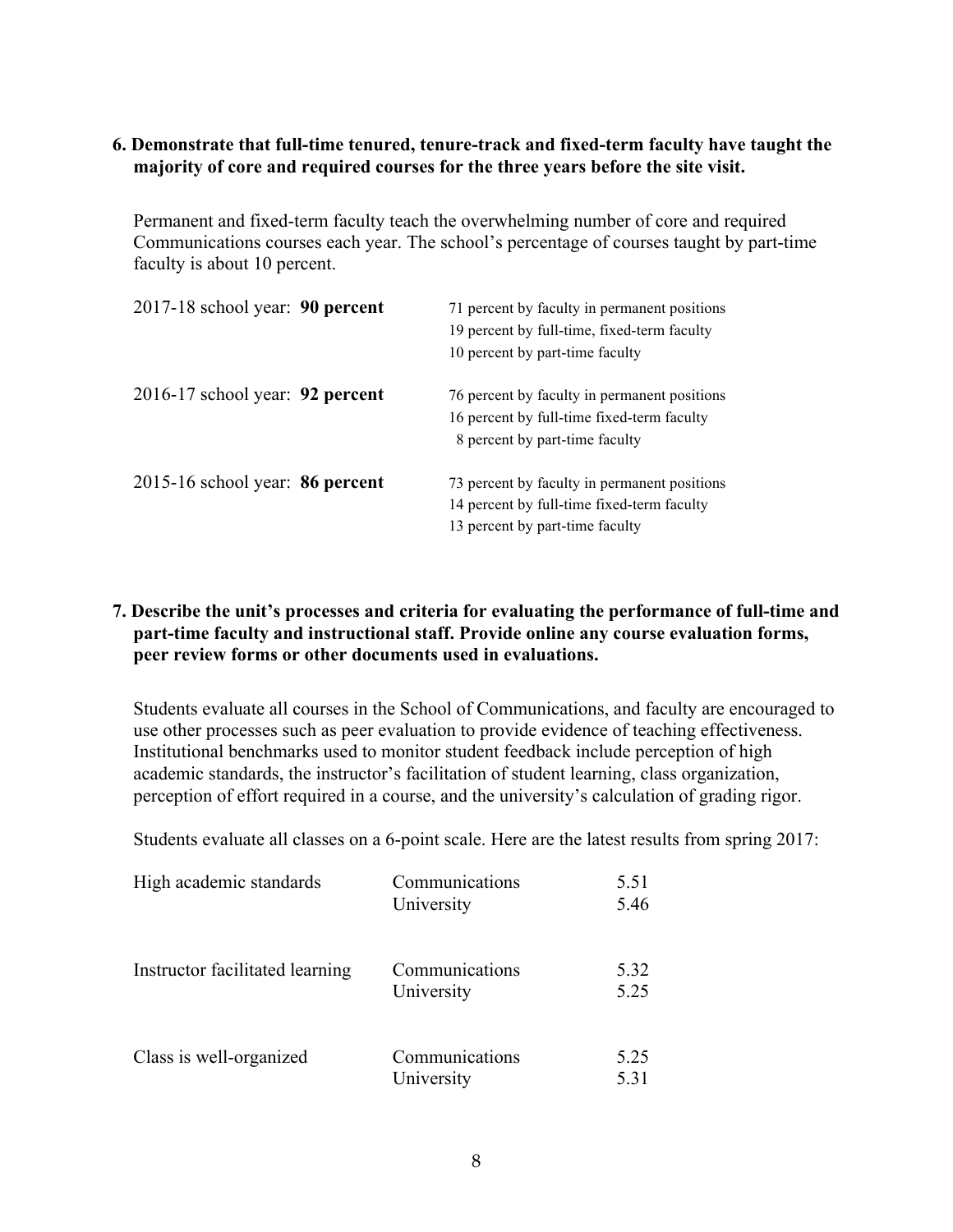#### **6. Demonstrate that full-time tenured, tenure-track and fixed-term faculty have taught the majority of core and required courses for the three years before the site visit.**

Permanent and fixed-term faculty teach the overwhelming number of core and required Communications courses each year. The school's percentage of courses taught by part-time faculty is about 10 percent.

| 2017-18 school year: 90 percent          | 71 percent by faculty in permanent positions<br>19 percent by full-time, fixed-term faculty<br>10 percent by part-time faculty |
|------------------------------------------|--------------------------------------------------------------------------------------------------------------------------------|
| $2016-17$ school year: <b>92 percent</b> | 76 percent by faculty in permanent positions<br>16 percent by full-time fixed-term faculty<br>8 percent by part-time faculty   |
| 2015-16 school year: 86 percent          | 73 percent by faculty in permanent positions<br>14 percent by full-time fixed-term faculty<br>13 percent by part-time faculty  |

### **7. Describe the unit's processes and criteria for evaluating the performance of full-time and part-time faculty and instructional staff. Provide online any course evaluation forms, peer review forms or other documents used in evaluations.**

Students evaluate all courses in the School of Communications, and faculty are encouraged to use other processes such as peer evaluation to provide evidence of teaching effectiveness. Institutional benchmarks used to monitor student feedback include perception of high academic standards, the instructor's facilitation of student learning, class organization, perception of effort required in a course, and the university's calculation of grading rigor.

Students evaluate all classes on a 6-point scale. Here are the latest results from spring 2017:

| High academic standards         | Communications<br>University | 5.51<br>5.46 |
|---------------------------------|------------------------------|--------------|
| Instructor facilitated learning | Communications<br>University | 5.32<br>5.25 |
| Class is well-organized         | Communications<br>University | 5.25<br>5.31 |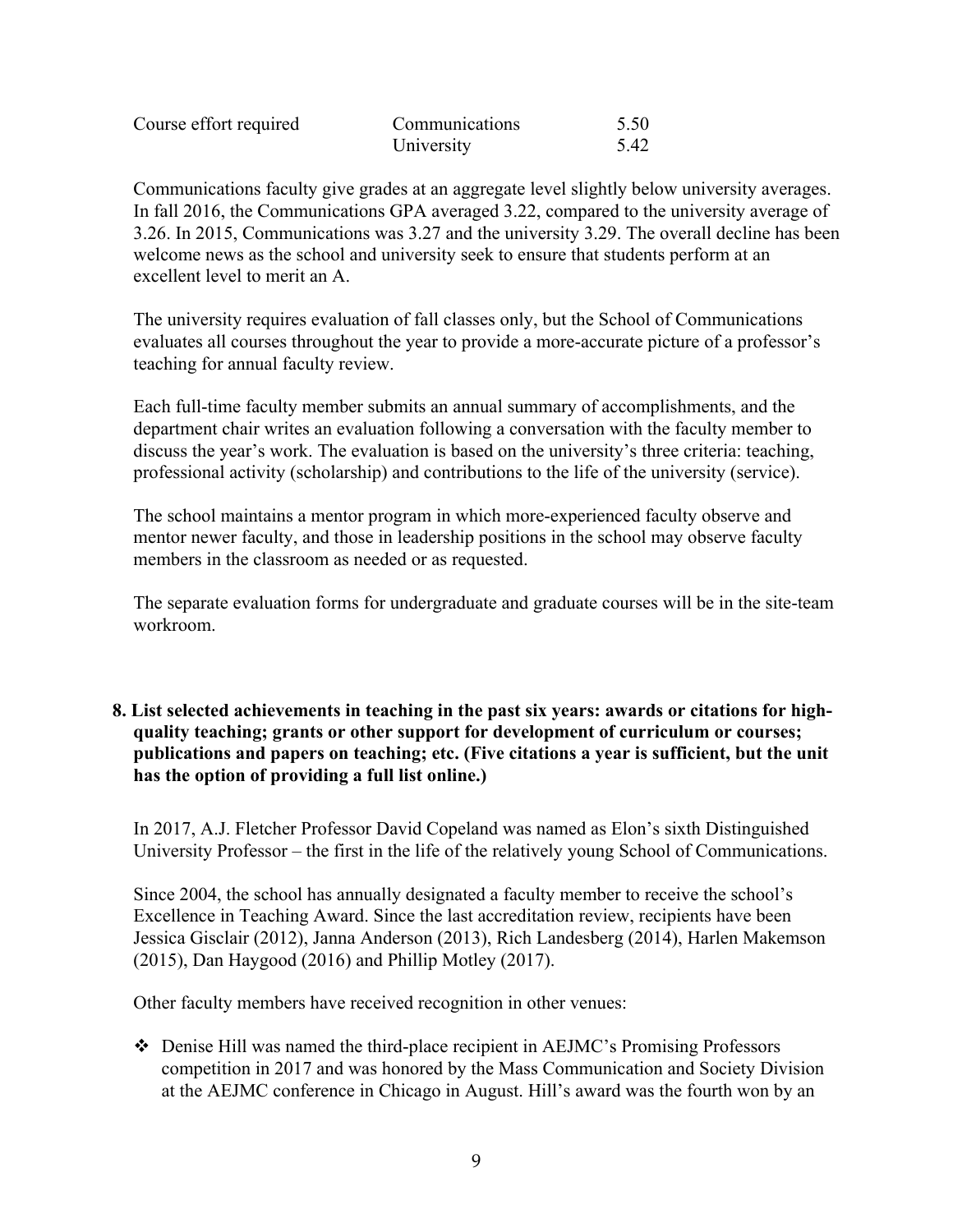| Course effort required | Communications | 5.50 |
|------------------------|----------------|------|
|                        | University     | 5.42 |

Communications faculty give grades at an aggregate level slightly below university averages. In fall 2016, the Communications GPA averaged 3.22, compared to the university average of 3.26. In 2015, Communications was 3.27 and the university 3.29. The overall decline has been welcome news as the school and university seek to ensure that students perform at an excellent level to merit an A.

The university requires evaluation of fall classes only, but the School of Communications evaluates all courses throughout the year to provide a more-accurate picture of a professor's teaching for annual faculty review.

Each full-time faculty member submits an annual summary of accomplishments, and the department chair writes an evaluation following a conversation with the faculty member to discuss the year's work. The evaluation is based on the university's three criteria: teaching, professional activity (scholarship) and contributions to the life of the university (service).

The school maintains a mentor program in which more-experienced faculty observe and mentor newer faculty, and those in leadership positions in the school may observe faculty members in the classroom as needed or as requested.

The separate evaluation forms for undergraduate and graduate courses will be in the site-team workroom.

**8. List selected achievements in teaching in the past six years: awards or citations for highquality teaching; grants or other support for development of curriculum or courses; publications and papers on teaching; etc. (Five citations a year is sufficient, but the unit has the option of providing a full list online.)**

In 2017, A.J. Fletcher Professor David Copeland was named as Elon's sixth Distinguished University Professor – the first in the life of the relatively young School of Communications.

Since 2004, the school has annually designated a faculty member to receive the school's Excellence in Teaching Award. Since the last accreditation review, recipients have been Jessica Gisclair (2012), Janna Anderson (2013), Rich Landesberg (2014), Harlen Makemson (2015), Dan Haygood (2016) and Phillip Motley (2017).

Other faculty members have received recognition in other venues:

v Denise Hill was named the third-place recipient in AEJMC's Promising Professors competition in 2017 and was honored by the Mass Communication and Society Division at the AEJMC conference in Chicago in August. Hill's award was the fourth won by an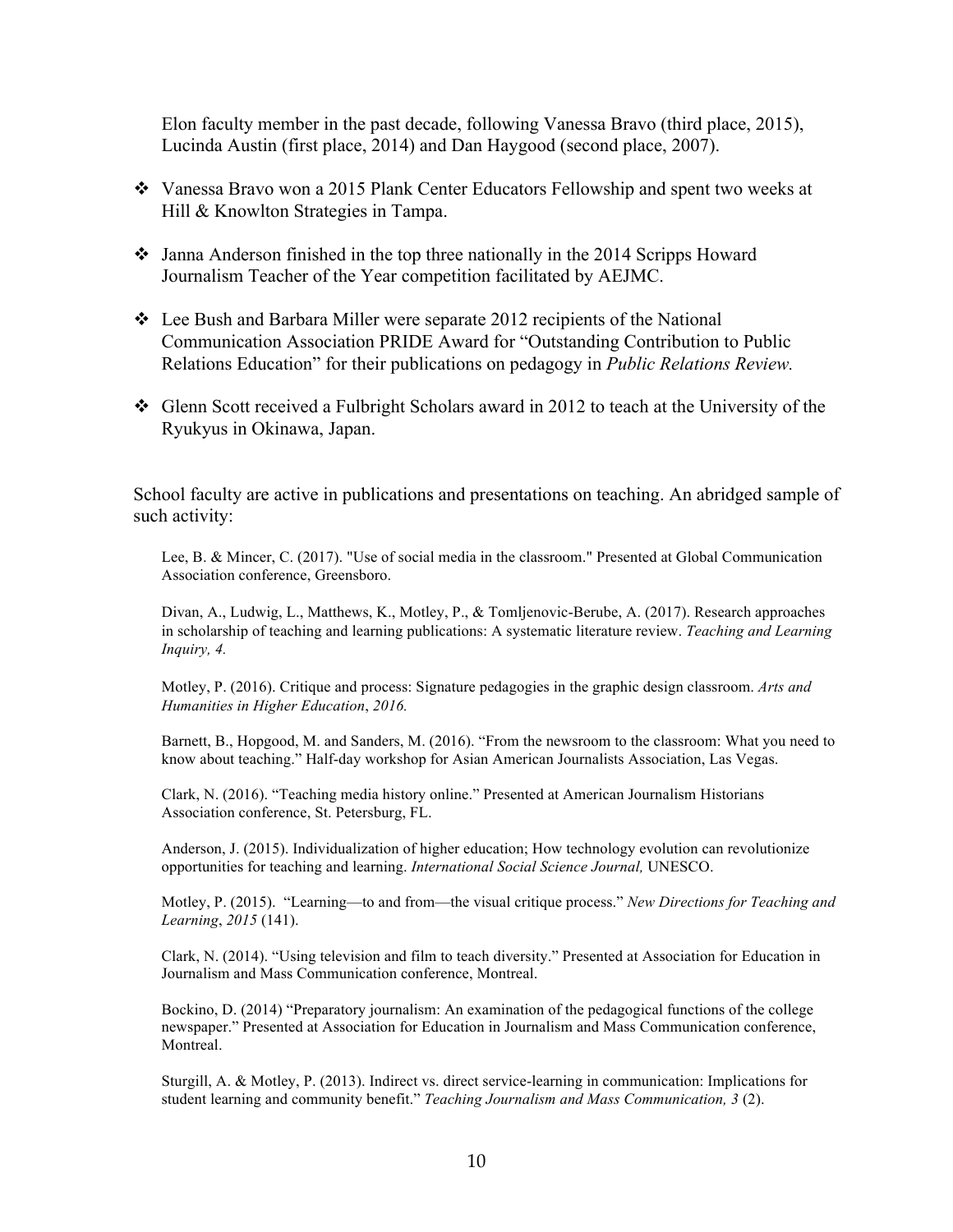Elon faculty member in the past decade, following Vanessa Bravo (third place, 2015), Lucinda Austin (first place, 2014) and Dan Haygood (second place, 2007).

- v Vanessa Bravo won a 2015 Plank Center Educators Fellowship and spent two weeks at Hill & Knowlton Strategies in Tampa.
- $\cdot$  Janna Anderson finished in the top three nationally in the 2014 Scripps Howard Journalism Teacher of the Year competition facilitated by AEJMC.
- $\div$  Lee Bush and Barbara Miller were separate 2012 recipients of the National Communication Association PRIDE Award for "Outstanding Contribution to Public Relations Education" for their publications on pedagogy in *Public Relations Review.*
- v Glenn Scott received a Fulbright Scholars award in 2012 to teach at the University of the Ryukyus in Okinawa, Japan.

School faculty are active in publications and presentations on teaching. An abridged sample of such activity:

Lee, B. & Mincer, C. (2017). "Use of social media in the classroom." Presented at Global Communication Association conference, Greensboro.

Divan, A., Ludwig, L., Matthews, K., Motley, P., & Tomljenovic-Berube, A. (2017). Research approaches in scholarship of teaching and learning publications: A systematic literature review. *Teaching and Learning Inquiry, 4.* 

Motley, P. (2016). Critique and process: Signature pedagogies in the graphic design classroom. *Arts and Humanities in Higher Education*, *2016.* 

Barnett, B., Hopgood, M. and Sanders, M. (2016). "From the newsroom to the classroom: What you need to know about teaching." Half-day workshop for Asian American Journalists Association, Las Vegas.

Clark, N. (2016). "Teaching media history online." Presented at American Journalism Historians Association conference, St. Petersburg, FL.

Anderson, J. (2015). Individualization of higher education; How technology evolution can revolutionize opportunities for teaching and learning. *International Social Science Journal,* UNESCO.

Motley, P. (2015). "Learning—to and from—the visual critique process." *New Directions for Teaching and Learning*, *2015* (141).

Clark, N. (2014). "Using television and film to teach diversity." Presented at Association for Education in Journalism and Mass Communication conference, Montreal.

Bockino, D. (2014) "Preparatory journalism: An examination of the pedagogical functions of the college newspaper." Presented at Association for Education in Journalism and Mass Communication conference, Montreal.

Sturgill, A. & Motley, P. (2013). Indirect vs. direct service-learning in communication: Implications for student learning and community benefit." *Teaching Journalism and Mass Communication, 3* (2).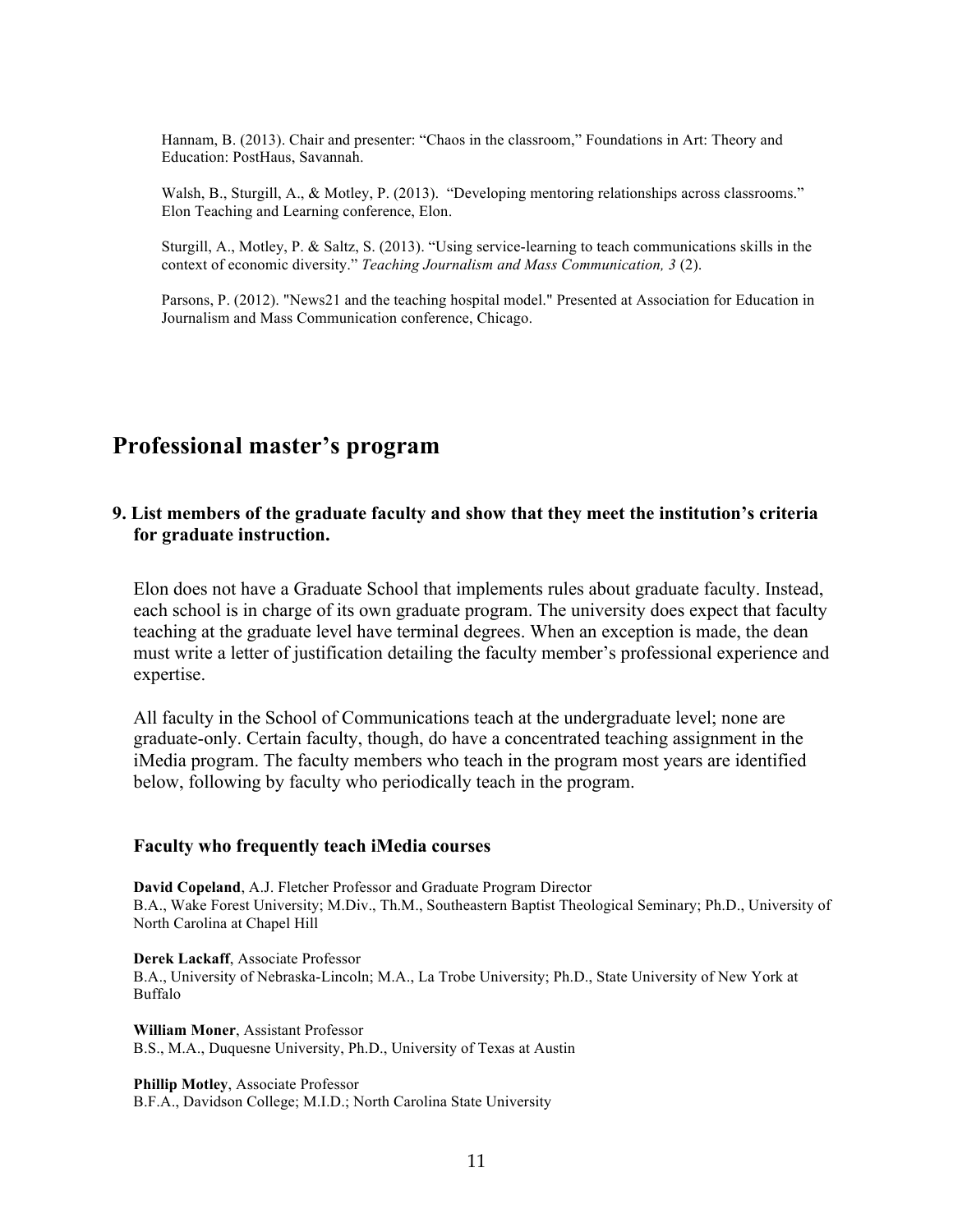Hannam, B. (2013). Chair and presenter: "Chaos in the classroom," Foundations in Art: Theory and Education: PostHaus, Savannah.

Walsh, B., Sturgill, A., & Motley, P. (2013). "Developing mentoring relationships across classrooms." Elon Teaching and Learning conference, Elon.

Sturgill, A., Motley, P. & Saltz, S. (2013). "Using service-learning to teach communications skills in the context of economic diversity." *Teaching Journalism and Mass Communication, 3* (2).

Parsons, P. (2012). "News21 and the teaching hospital model." Presented at Association for Education in Journalism and Mass Communication conference, Chicago.

### **Professional master's program**

#### **9. List members of the graduate faculty and show that they meet the institution's criteria for graduate instruction.**

Elon does not have a Graduate School that implements rules about graduate faculty. Instead, each school is in charge of its own graduate program. The university does expect that faculty teaching at the graduate level have terminal degrees. When an exception is made, the dean must write a letter of justification detailing the faculty member's professional experience and expertise.

All faculty in the School of Communications teach at the undergraduate level; none are graduate-only. Certain faculty, though, do have a concentrated teaching assignment in the iMedia program. The faculty members who teach in the program most years are identified below, following by faculty who periodically teach in the program.

#### **Faculty who frequently teach iMedia courses**

**David Copeland**, A.J. Fletcher Professor and Graduate Program Director B.A., Wake Forest University; M.Div., Th.M., Southeastern Baptist Theological Seminary; Ph.D., University of North Carolina at Chapel Hill

**Derek Lackaff**, Associate Professor B.A., University of Nebraska-Lincoln; M.A., La Trobe University; Ph.D., State University of New York at Buffalo

**William Moner**, Assistant Professor B.S., M.A., Duquesne University, Ph.D., University of Texas at Austin

**Phillip Motley**, Associate Professor B.F.A., Davidson College; M.I.D.; North Carolina State University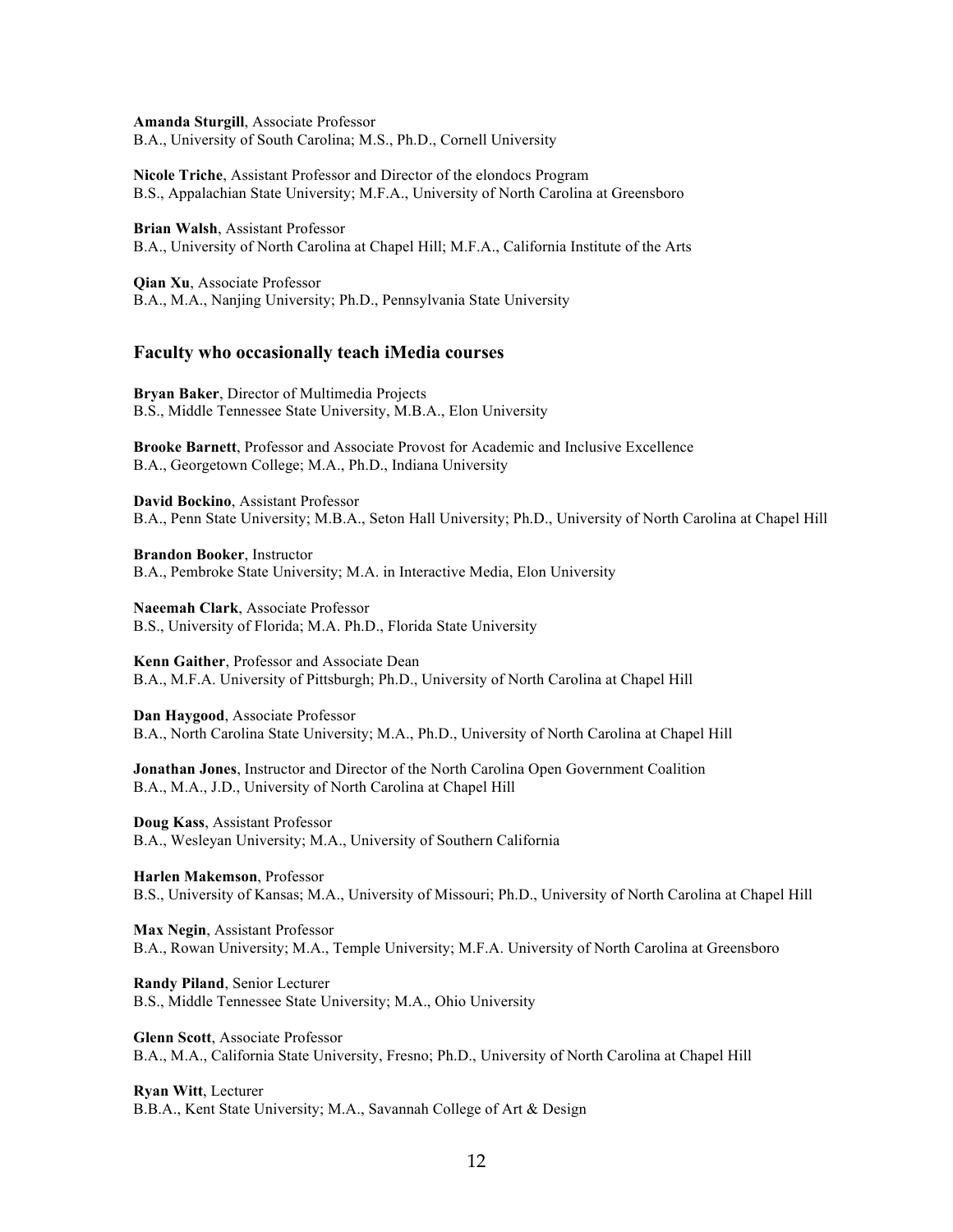**Amanda Sturgill**, Associate Professor B.A., University of South Carolina; M.S., Ph.D., Cornell University

**Nicole Triche**, Assistant Professor and Director of the elondocs Program B.S., Appalachian State University; M.F.A., University of North Carolina at Greensboro

**Brian Walsh**, Assistant Professor B.A., University of North Carolina at Chapel Hill; M.F.A., California Institute of the Arts

**Qian Xu**, Associate Professor B.A., M.A., Nanjing University; Ph.D., Pennsylvania State University

#### **Faculty who occasionally teach iMedia courses**

**Bryan Baker**, Director of Multimedia Projects B.S., Middle Tennessee State University, M.B.A., Elon University

**Brooke Barnett**, Professor and Associate Provost for Academic and Inclusive Excellence B.A., Georgetown College; M.A., Ph.D., Indiana University

**David Bockino**, Assistant Professor B.A., Penn State University; M.B.A., Seton Hall University; Ph.D., University of North Carolina at Chapel Hill

**Brandon Booker**, Instructor

B.A., Pembroke State University; M.A. in Interactive Media, Elon University

**Naeemah Clark**, Associate Professor B.S., University of Florida; M.A. Ph.D., Florida State University

**Kenn Gaither**, Professor and Associate Dean B.A., M.F.A. University of Pittsburgh; Ph.D., University of North Carolina at Chapel Hill

**Dan Haygood**, Associate Professor B.A., North Carolina State University; M.A., Ph.D., University of North Carolina at Chapel Hill

**Jonathan Jones**, Instructor and Director of the North Carolina Open Government Coalition B.A., M.A., J.D., University of North Carolina at Chapel Hill

**Doug Kass**, Assistant Professor B.A., Wesleyan University; M.A., University of Southern California

**Harlen Makemson**, Professor B.S., University of Kansas; M.A., University of Missouri; Ph.D., University of North Carolina at Chapel Hill

**Max Negin**, Assistant Professor B.A., Rowan University; M.A., Temple University; M.F.A. University of North Carolina at Greensboro

**Randy Piland**, Senior Lecturer B.S., Middle Tennessee State University; M.A., Ohio University

**Glenn Scott**, Associate Professor B.A., M.A., California State University, Fresno; Ph.D., University of North Carolina at Chapel Hill

**Ryan Witt**, Lecturer B.B.A., Kent State University; M.A., Savannah College of Art & Design